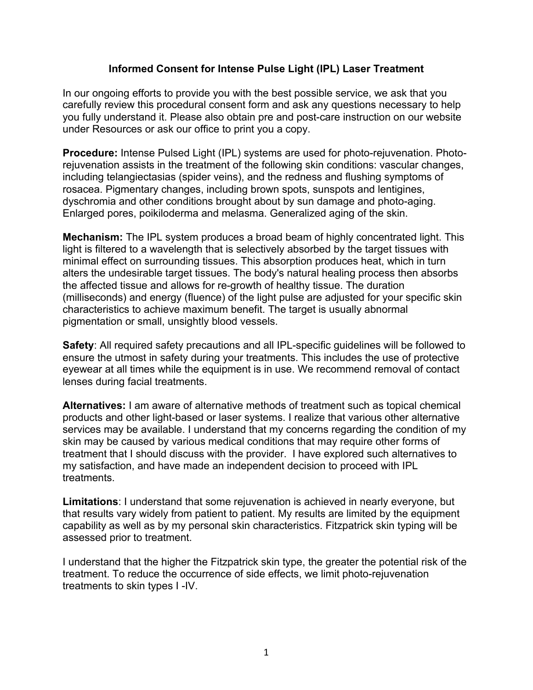## **Informed Consent for Intense Pulse Light (IPL) Laser Treatment**

In our ongoing efforts to provide you with the best possible service, we ask that you carefully review this procedural consent form and ask any questions necessary to help you fully understand it. Please also obtain pre and post-care instruction on our website under Resources or ask our office to print you a copy.

**Procedure:** Intense Pulsed Light (IPL) systems are used for photo-rejuvenation. Photorejuvenation assists in the treatment of the following skin conditions: vascular changes, including telangiectasias (spider veins), and the redness and flushing symptoms of rosacea. Pigmentary changes, including brown spots, sunspots and lentigines, dyschromia and other conditions brought about by sun damage and photo-aging. Enlarged pores, poikiloderma and melasma. Generalized aging of the skin.

**Mechanism:** The IPL system produces a broad beam of highly concentrated light. This light is filtered to a wavelength that is selectively absorbed by the target tissues with minimal effect on surrounding tissues. This absorption produces heat, which in turn alters the undesirable target tissues. The body's natural healing process then absorbs the affected tissue and allows for re-growth of healthy tissue. The duration (milliseconds) and energy (fluence) of the light pulse are adjusted for your specific skin characteristics to achieve maximum benefit. The target is usually abnormal pigmentation or small, unsightly blood vessels.

**Safety**: All required safety precautions and all IPL-specific guidelines will be followed to ensure the utmost in safety during your treatments. This includes the use of protective eyewear at all times while the equipment is in use. We recommend removal of contact lenses during facial treatments.

**Alternatives:** I am aware of alternative methods of treatment such as topical chemical products and other light-based or laser systems. I realize that various other alternative services may be available. I understand that my concerns regarding the condition of my skin may be caused by various medical conditions that may require other forms of treatment that I should discuss with the provider. I have explored such alternatives to my satisfaction, and have made an independent decision to proceed with IPL treatments.

**Limitations**: I understand that some rejuvenation is achieved in nearly everyone, but that results vary widely from patient to patient. My results are limited by the equipment capability as well as by my personal skin characteristics. Fitzpatrick skin typing will be assessed prior to treatment.

I understand that the higher the Fitzpatrick skin type, the greater the potential risk of the treatment. To reduce the occurrence of side effects, we limit photo-rejuvenation treatments to skin types I -IV.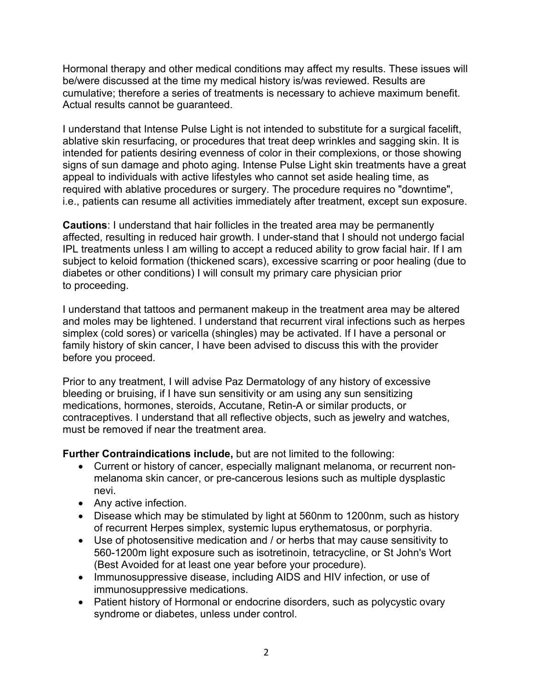Hormonal therapy and other medical conditions may affect my results. These issues will be/were discussed at the time my medical history is/was reviewed. Results are cumulative; therefore a series of treatments is necessary to achieve maximum benefit. Actual results cannot be guaranteed.

I understand that Intense Pulse Light is not intended to substitute for a surgical facelift, ablative skin resurfacing, or procedures that treat deep wrinkles and sagging skin. It is intended for patients desiring evenness of color in their complexions, or those showing signs of sun damage and photo aging. Intense Pulse Light skin treatments have a great appeal to individuals with active lifestyles who cannot set aside healing time, as required with ablative procedures or surgery. The procedure requires no "downtime", i.e., patients can resume all activities immediately after treatment, except sun exposure.

**Cautions**: I understand that hair follicles in the treated area may be permanently affected, resulting in reduced hair growth. I under-stand that I should not undergo facial IPL treatments unless I am willing to accept a reduced ability to grow facial hair. If I am subject to keloid formation (thickened scars), excessive scarring or poor healing (due to diabetes or other conditions) I will consult my primary care physician prior to proceeding.

I understand that tattoos and permanent makeup in the treatment area may be altered and moles may be lightened. I understand that recurrent viral infections such as herpes simplex (cold sores) or varicella (shingles) may be activated. If I have a personal or family history of skin cancer, I have been advised to discuss this with the provider before you proceed.

Prior to any treatment, I will advise Paz Dermatology of any history of excessive bleeding or bruising, if I have sun sensitivity or am using any sun sensitizing medications, hormones, steroids, Accutane, Retin-A or similar products, or contraceptives. I understand that all reflective objects, such as jewelry and watches, must be removed if near the treatment area.

**Further Contraindications include,** but are not limited to the following:

- Current or history of cancer, especially malignant melanoma, or recurrent nonmelanoma skin cancer, or pre-cancerous lesions such as multiple dysplastic nevi.
- Any active infection.
- Disease which may be stimulated by light at 560nm to 1200nm, such as history of recurrent Herpes simplex, systemic lupus erythematosus, or porphyria.
- Use of photosensitive medication and / or herbs that may cause sensitivity to 560-1200m light exposure such as isotretinoin, tetracycline, or St John's Wort (Best Avoided for at least one year before your procedure).
- Immunosuppressive disease, including AIDS and HIV infection, or use of immunosuppressive medications.
- Patient history of Hormonal or endocrine disorders, such as polycystic ovary syndrome or diabetes, unless under control.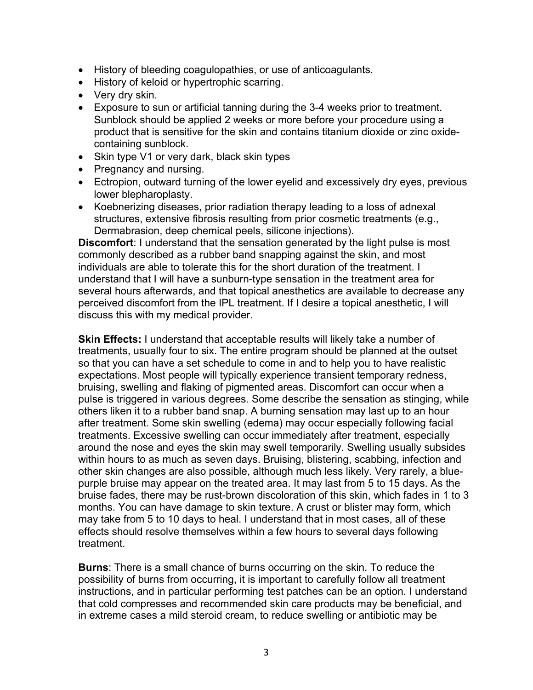- History of bleeding coagulopathies, or use of anticoagulants.
- History of keloid or hypertrophic scarring.
- Very dry skin.
- Exposure to sun or artificial tanning during the 3-4 weeks prior to treatment. Sunblock should be applied 2 weeks or more before your procedure using a product that is sensitive for the skin and contains titanium dioxide or zinc oxidecontaining sunblock.
- Skin type V1 or very dark, black skin types
- Pregnancy and nursing.
- Ectropion, outward turning of the lower eyelid and excessively dry eyes, previous lower blepharoplasty.
- Koebnerizing diseases, prior radiation therapy leading to a loss of adnexal structures, extensive fibrosis resulting from prior cosmetic treatments (e.g., Dermabrasion, deep chemical peels, silicone injections).

**Discomfort**: I understand that the sensation generated by the light pulse is most commonly described as a rubber band snapping against the skin, and most individuals are able to tolerate this for the short duration of the treatment. I understand that I will have a sunburn-type sensation in the treatment area for several hours afterwards, and that topical anesthetics are available to decrease any perceived discomfort from the IPL treatment. If I desire a topical anesthetic, I will discuss this with my medical provider.

**Skin Effects:** I understand that acceptable results will likely take a number of treatments, usually four to six. The entire program should be planned at the outset so that you can have a set schedule to come in and to help you to have realistic expectations. Most people will typically experience transient temporary redness, bruising, swelling and flaking of pigmented areas. Discomfort can occur when a pulse is triggered in various degrees. Some describe the sensation as stinging, while others liken it to a rubber band snap. A burning sensation may last up to an hour after treatment. Some skin swelling (edema) may occur especially following facial treatments. Excessive swelling can occur immediately after treatment, especially around the nose and eyes the skin may swell temporarily. Swelling usually subsides within hours to as much as seven days. Bruising, blistering, scabbing, infection and other skin changes are also possible, although much less likely. Very rarely, a bluepurple bruise may appear on the treated area. It may last from 5 to 15 days. As the bruise fades, there may be rust-brown discoloration of this skin, which fades in 1 to 3 months. You can have damage to skin texture. A crust or blister may form, which may take from 5 to 10 days to heal. I understand that in most cases, all of these effects should resolve themselves within a few hours to several days following treatment.

**Burns**: There is a small chance of burns occurring on the skin. To reduce the possibility of burns from occurring, it is important to carefully follow all treatment instructions, and in particular performing test patches can be an option. I understand that cold compresses and recommended skin care products may be beneficial, and in extreme cases a mild steroid cream, to reduce swelling or antibiotic may be